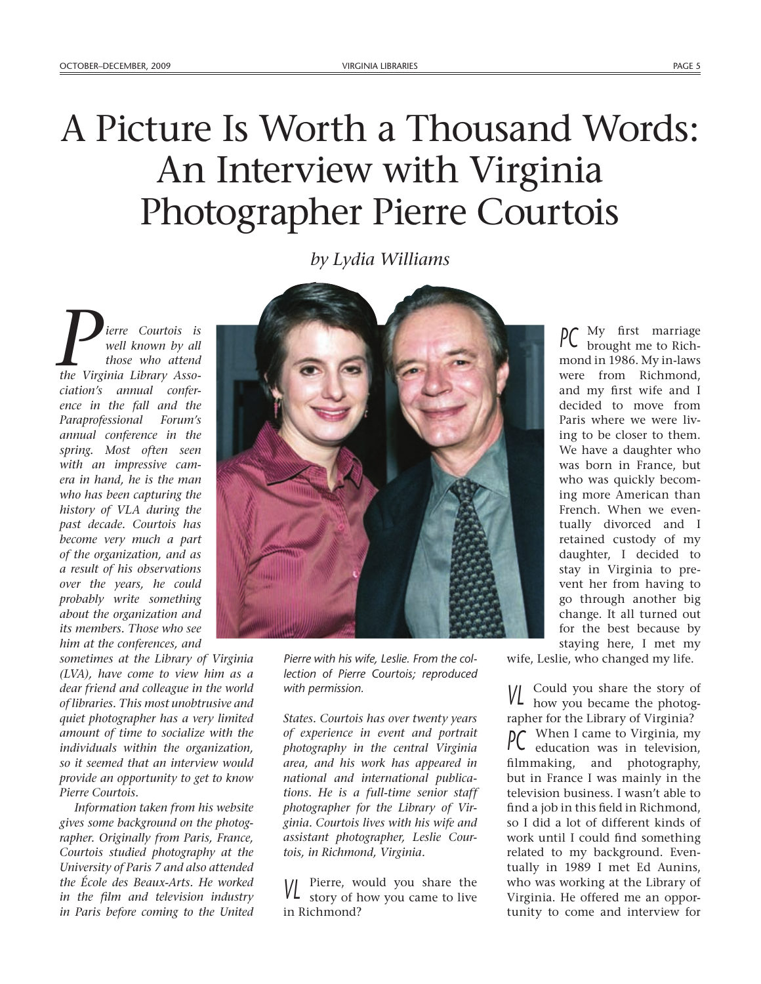## A Picture Is Worth a Thousand Words: An Interview with Virginia Photographer Pierre Courtois

*by Lydia Williams*

*ierre Courtois is well known by all those who attend the Virginia Library Association's annual conference in the fall and the Paraprofessional Forum's annual conference in the spring. Most often seen with an impressive camera in hand, he is the man who has been capturing the history of VLA during the past decade. Courtois has become very much a part of the organization, and as a result of his observations over the years, he could probably write something about the organization and its members. Those who see him at the conferences, and* 

*sometimes at the Library of Virginia (LVA), have come to view him as a dear friend and colleague in the world of libraries. This most unobtrusive and quiet photographer has a very limited amount of time to socialize with the individuals within the organization, so it seemed that an interview would provide an opportunity to get to know Pierre Courtois.*

*Information taken from his website gives some background on the photographer. Originally from Paris, France, Courtois studied photography at the University of Paris 7 and also attended the École des Beaux-Arts. He worked in the film and television industry in Paris before coming to the United* 



*Pierre with his wife, Leslie. From the collection of Pierre Courtois; reproduced with permission.*

*States. Courtois has over twenty years of experience in event and portrait photography in the central Virginia area, and his work has appeared in national and international publications. He is a full-time senior staff photographer for the Library of Virginia. Courtois lives with his wife and assistant photographer, Leslie Courtois, in Richmond, Virginia.* 

**VL** Pierre, would you share the story of how you came to live in Richmond?

 $\mathsf{PC}$  My first marriage<br>brought me to Richmond in 1986. My in-laws were from Richmond, and my first wife and I decided to move from Paris where we were living to be closer to them. We have a daughter who was born in France, but who was quickly becoming more American than French. When we eventually divorced and I retained custody of my daughter, I decided to stay in Virginia to prevent her from having to go through another big change. It all turned out for the best because by staying here, I met my

wife, Leslie, who changed my life.

*VL* Could you share the story of how you became the photographer for the Library of Virginia? *PC* When I came to Virginia, my education was in television, filmmaking, and photography, but in France I was mainly in the television business. I wasn't able to find a job in this field in Richmond, so I did a lot of different kinds of work until I could find something related to my background. Eventually in 1989 I met Ed Aunins, who was working at the Library of Virginia. He offered me an opportunity to come and interview for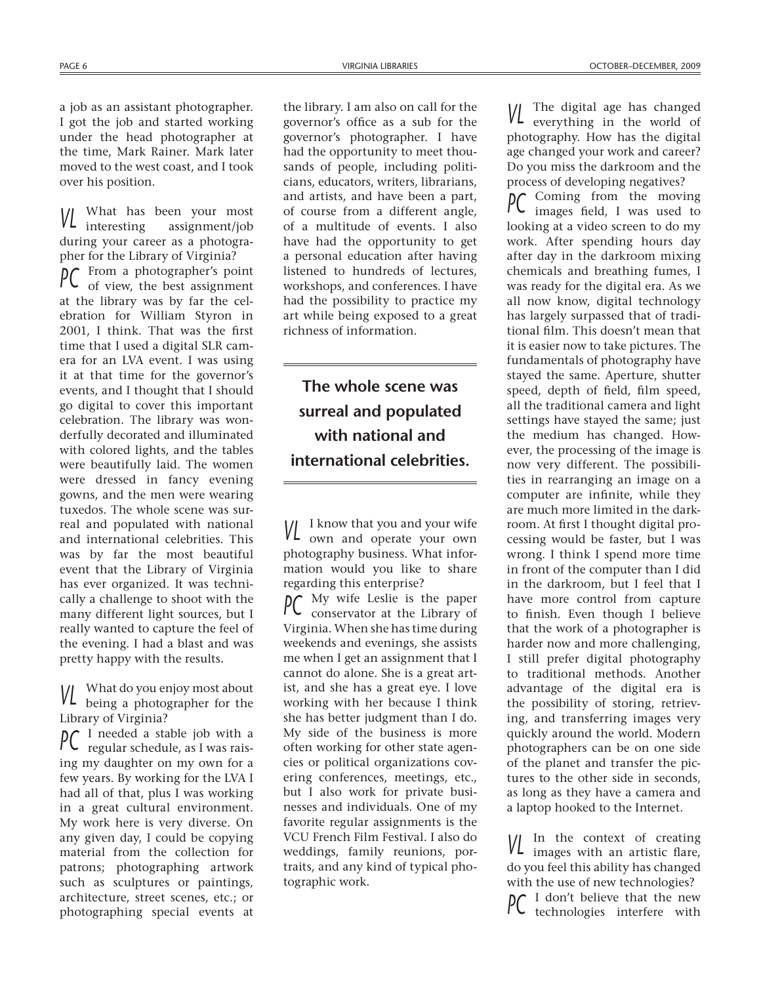a job as an assistant photographer. I got the job and started working under the head photographer at the time, Mark Rainer. Mark later moved to the west coast, and I took over his position.

*V*hat has been your most<br>interesting assignment/job assignment/job during your career as a photographer for the Library of Virginia? *PC* From a photographer's point of view, the best assignment at the library was by far the celebration for William Styron in 2001, I think. That was the first time that I used a digital SLR camera for an LVA event. I was using it at that time for the governor's events, and I thought that I should go digital to cover this important celebration. The library was wonderfully decorated and illuminated with colored lights, and the tables were beautifully laid. The women were dressed in fancy evening gowns, and the men were wearing tuxedos. The whole scene was surreal and populated with national and international celebrities. This was by far the most beautiful event that the Library of Virginia has ever organized. It was technically a challenge to shoot with the many different light sources, but I really wanted to capture the feel of the evening. I had a blast and was pretty happy with the results.

*VL* What do you enjoy most about being a photographer for the Library of Virginia?

*PC* I needed a stable job with a regular schedule, as I was raising my daughter on my own for a few years. By working for the LVA I had all of that, plus I was working in a great cultural environment. My work here is very diverse. On any given day, I could be copying material from the collection for patrons; photographing artwork such as sculptures or paintings, architecture, street scenes, etc.; or photographing special events at

the library. I am also on call for the governor's office as a sub for the governor's photographer. I have had the opportunity to meet thousands of people, including politicians, educators, writers, librarians, and artists, and have been a part, of course from a different angle, of a multitude of events. I also have had the opportunity to get a personal education after having listened to hundreds of lectures, workshops, and conferences. I have had the possibility to practice my art while being exposed to a great richness of information.

**The whole scene was surreal and populated with national and international celebrities.**

**VL** I know that you and your wife own and operate your own photography business. What information would you like to share regarding this enterprise?

*PC* My wife Leslie is the paper conservator at the Library of Virginia. When she has time during weekends and evenings, she assists me when I get an assignment that I cannot do alone. She is a great artist, and she has a great eye. I love working with her because I think she has better judgment than I do. My side of the business is more often working for other state agencies or political organizations covering conferences, meetings, etc., but I also work for private businesses and individuals. One of my favorite regular assignments is the VCU French Film Festival. I also do weddings, family reunions, portraits, and any kind of typical photographic work.

*VL* The digital age has changed everything in the world of photography. How has the digital age changed your work and career? Do you miss the darkroom and the process of developing negatives?

*PC* Coming from the moving images field, I was used to looking at a video screen to do my work. After spending hours day after day in the darkroom mixing chemicals and breathing fumes, I was ready for the digital era. As we all now know, digital technology has largely surpassed that of traditional film. This doesn't mean that it is easier now to take pictures. The fundamentals of photography have stayed the same. Aperture, shutter speed, depth of field, film speed, all the traditional camera and light settings have stayed the same; just the medium has changed. However, the processing of the image is now very different. The possibilities in rearranging an image on a computer are infinite, while they are much more limited in the darkroom. At first I thought digital processing would be faster, but I was wrong. I think I spend more time in front of the computer than I did in the darkroom, but I feel that I have more control from capture to finish. Even though I believe that the work of a photographer is harder now and more challenging, I still prefer digital photography to traditional methods. Another advantage of the digital era is the possibility of storing, retrieving, and transferring images very quickly around the world. Modern photographers can be on one side of the planet and transfer the pictures to the other side in seconds, as long as they have a camera and a laptop hooked to the Internet.

*VL* In the context of creating images with an artistic flare, do you feel this ability has changed with the use of new technologies? *PC* I don't believe that the new<br>technologies interfere with technologies interfere with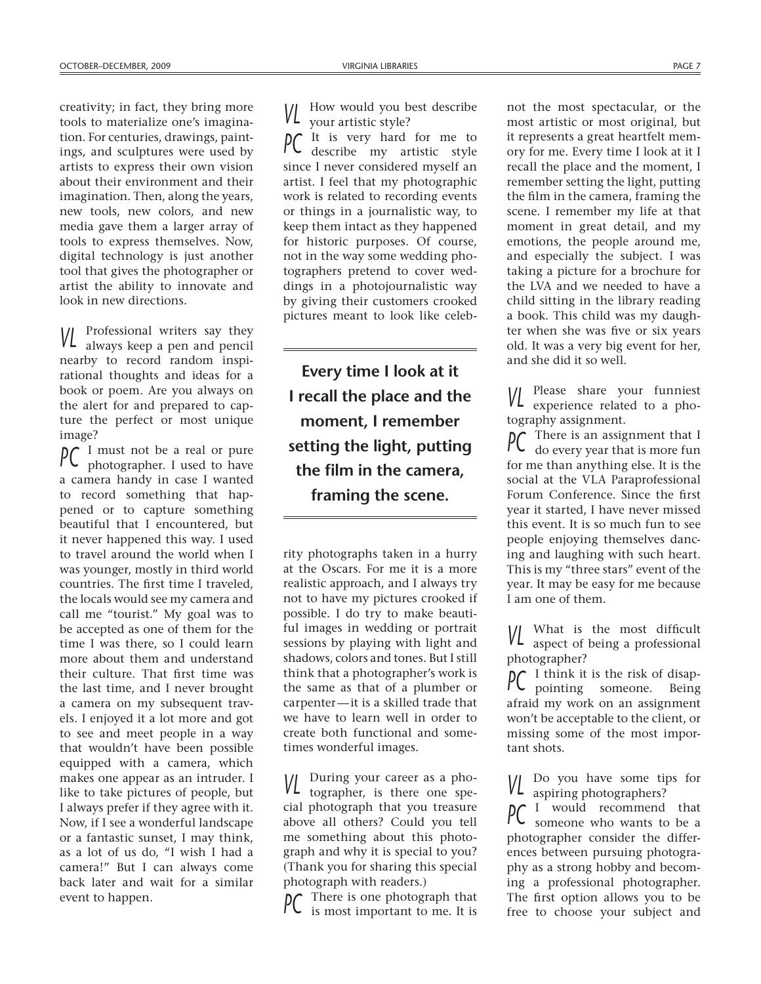creativity; in fact, they bring more tools to materialize one's imagination. For centuries, drawings, paintings, and sculptures were used by artists to express their own vision about their environment and their imagination. Then, along the years, new tools, new colors, and new media gave them a larger array of tools to express themselves. Now, digital technology is just another tool that gives the photographer or artist the ability to innovate and look in new directions.

*VL* Professional writers say they always keep a pen and pencil nearby to record random inspirational thoughts and ideas for a book or poem. Are you always on the alert for and prepared to capture the perfect or most unique image?

*PC* I must not be a real or pure<br>photographer. I used to have photographer. I used to have a camera handy in case I wanted to record something that happened or to capture something beautiful that I encountered, but it never happened this way. I used to travel around the world when I was younger, mostly in third world countries. The first time I traveled, the locals would see my camera and call me "tourist." My goal was to be accepted as one of them for the time I was there, so I could learn more about them and understand their culture. That first time was the last time, and I never brought a camera on my subsequent travels. I enjoyed it a lot more and got to see and meet people in a way that wouldn't have been possible equipped with a camera, which makes one appear as an intruder. I like to take pictures of people, but I always prefer if they agree with it. Now, if I see a wonderful landscape or a fantastic sunset, I may think, as a lot of us do, "I wish I had a camera!" But I can always come back later and wait for a similar event to happen.

**VL** How would you best describe your artistic style?

*PC* It is very hard for me to describe my artistic style since I never considered myself an artist. I feel that my photographic work is related to recording events or things in a journalistic way, to keep them intact as they happened for historic purposes. Of course, not in the way some wedding photographers pretend to cover weddings in a photojournalistic way by giving their customers crooked pictures meant to look like celeb-

**Every time I look at it I recall the place and the moment, I remember setting the light, putting the film in the camera, framing the scene.**

rity photographs taken in a hurry at the Oscars. For me it is a more realistic approach, and I always try not to have my pictures crooked if possible. I do try to make beautiful images in wedding or portrait sessions by playing with light and shadows, colors and tones. But I still think that a photographer's work is the same as that of a plumber or carpenter—it is a skilled trade that we have to learn well in order to create both functional and sometimes wonderful images.

*VL* During your career as a pho-<br>tographer, is there one spetographer, is there one special photograph that you treasure above all others? Could you tell me something about this photograph and why it is special to you? (Thank you for sharing this special photograph with readers.)

There is one photograph that is most important to me. It is

not the most spectacular, or the most artistic or most original, but it represents a great heartfelt memory for me. Every time I look at it I recall the place and the moment, I remember setting the light, putting the film in the camera, framing the scene. I remember my life at that moment in great detail, and my emotions, the people around me, and especially the subject. I was taking a picture for a brochure for the LVA and we needed to have a child sitting in the library reading a book. This child was my daughter when she was five or six years old. It was a very big event for her, and she did it so well.

*VL* Please share your funniest experience related to a photography assignment.

*PC* There is an assignment that I do every year that is more fun for me than anything else. It is the social at the VLA Paraprofessional Forum Conference. Since the first year it started, I have never missed this event. It is so much fun to see people enjoying themselves dancing and laughing with such heart. This is my "three stars" event of the year. It may be easy for me because I am one of them.

*VL* What is the most difficult aspect of being a professional photographer?

*PC* I think it is the risk of disap-<br>pointing someone. Being pointing someone. Being afraid my work on an assignment won't be acceptable to the client, or missing some of the most important shots.

*VL* Do you have some tips for aspiring photographers?

*PC* I would recommend that someone who wants to be a photographer consider the differences between pursuing photography as a strong hobby and becoming a professional photographer. The first option allows you to be free to choose your subject and